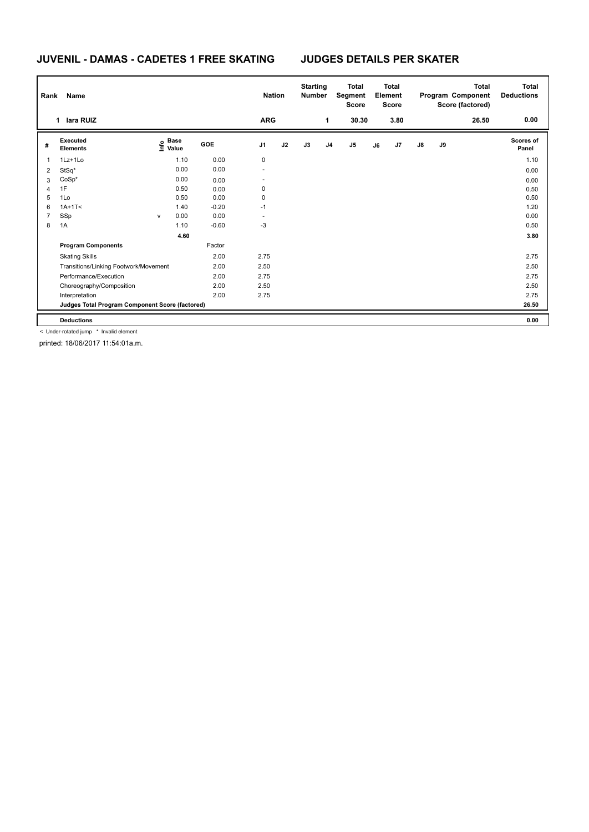## **JUVENIL - DAMAS - CADETES 1 FREE SKATING JUDGES DETAILS PER SKATER**

| Rank | Name                                            |              |                                  |            |                          | <b>Nation</b> | <b>Starting</b><br><b>Number</b> |                | <b>Total</b><br>Segment<br><b>Score</b> |    | <b>Total</b><br>Element<br><b>Score</b> |               |    | <b>Total</b><br>Program Component<br>Score (factored) | <b>Total</b><br><b>Deductions</b> |
|------|-------------------------------------------------|--------------|----------------------------------|------------|--------------------------|---------------|----------------------------------|----------------|-----------------------------------------|----|-----------------------------------------|---------------|----|-------------------------------------------------------|-----------------------------------|
|      | lara RUIZ<br>1                                  |              |                                  |            | <b>ARG</b>               |               |                                  | $\mathbf 1$    | 30.30                                   |    | 3.80                                    |               |    | 26.50                                                 | 0.00                              |
| #    | Executed<br><b>Elements</b>                     |              | <b>Base</b><br>e Base<br>⊆ Value | <b>GOE</b> | J <sub>1</sub>           | J2            | J3                               | J <sub>4</sub> | $\mathsf{J}5$                           | J6 | J7                                      | $\mathsf{J}8$ | J9 |                                                       | Scores of<br>Panel                |
| 1    | $1Lz+1Lo$                                       |              | 1.10                             | 0.00       | 0                        |               |                                  |                |                                         |    |                                         |               |    |                                                       | 1.10                              |
| 2    | StSq*                                           |              | 0.00                             | 0.00       | $\overline{\phantom{a}}$ |               |                                  |                |                                         |    |                                         |               |    |                                                       | 0.00                              |
| 3    | $CoSp*$                                         |              | 0.00                             | 0.00       | $\overline{\phantom{a}}$ |               |                                  |                |                                         |    |                                         |               |    |                                                       | 0.00                              |
| 4    | 1F                                              |              | 0.50                             | 0.00       | 0                        |               |                                  |                |                                         |    |                                         |               |    |                                                       | 0.50                              |
| 5    | 1Lo                                             |              | 0.50                             | 0.00       | 0                        |               |                                  |                |                                         |    |                                         |               |    |                                                       | 0.50                              |
| 6    | $1A+1T<$                                        |              | 1.40                             | $-0.20$    | $-1$                     |               |                                  |                |                                         |    |                                         |               |    |                                                       | 1.20                              |
| 7    | SSp                                             | $\mathsf{V}$ | 0.00                             | 0.00       |                          |               |                                  |                |                                         |    |                                         |               |    |                                                       | 0.00                              |
| 8    | 1A                                              |              | 1.10                             | $-0.60$    | $-3$                     |               |                                  |                |                                         |    |                                         |               |    |                                                       | 0.50                              |
|      |                                                 |              | 4.60                             |            |                          |               |                                  |                |                                         |    |                                         |               |    |                                                       | 3.80                              |
|      | <b>Program Components</b>                       |              |                                  | Factor     |                          |               |                                  |                |                                         |    |                                         |               |    |                                                       |                                   |
|      | <b>Skating Skills</b>                           |              |                                  | 2.00       | 2.75                     |               |                                  |                |                                         |    |                                         |               |    |                                                       | 2.75                              |
|      | Transitions/Linking Footwork/Movement           |              |                                  | 2.00       | 2.50                     |               |                                  |                |                                         |    |                                         |               |    |                                                       | 2.50                              |
|      | Performance/Execution                           |              |                                  | 2.00       | 2.75                     |               |                                  |                |                                         |    |                                         |               |    |                                                       | 2.75                              |
|      | Choreography/Composition                        |              |                                  | 2.00       | 2.50                     |               |                                  |                |                                         |    |                                         |               |    |                                                       | 2.50                              |
|      | Interpretation                                  |              |                                  | 2.00       | 2.75                     |               |                                  |                |                                         |    |                                         |               |    |                                                       | 2.75                              |
|      | Judges Total Program Component Score (factored) |              |                                  |            |                          |               |                                  |                |                                         |    |                                         |               |    |                                                       | 26.50                             |
|      | <b>Deductions</b>                               |              |                                  |            |                          |               |                                  |                |                                         |    |                                         |               |    |                                                       | 0.00                              |

< Under-rotated jump \* Invalid element

printed: 18/06/2017 11:54:01a.m.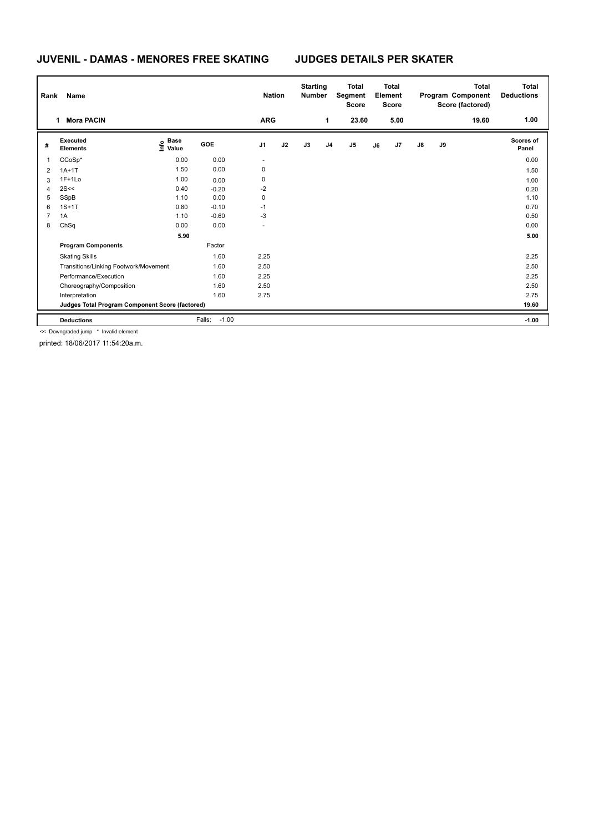### **JUVENIL - DAMAS - MENORES FREE SKATING JUDGES DETAILS PER SKATER**

| Rank           | Name                                            |                                  |                   | <b>Nation</b>  |    | <b>Starting</b><br><b>Number</b> |                | <b>Total</b><br>Segment<br><b>Score</b> |    | <b>Total</b><br>Element<br>Score |               |    | <b>Total</b><br>Program Component<br>Score (factored) | <b>Total</b><br><b>Deductions</b> |
|----------------|-------------------------------------------------|----------------------------------|-------------------|----------------|----|----------------------------------|----------------|-----------------------------------------|----|----------------------------------|---------------|----|-------------------------------------------------------|-----------------------------------|
|                | <b>Mora PACIN</b><br>1                          |                                  |                   | <b>ARG</b>     |    |                                  | 1              | 23.60                                   |    | 5.00                             |               |    | 19.60                                                 | 1.00                              |
| #              | Executed<br><b>Elements</b>                     | <b>Base</b><br>e Base<br>⊆ Value | GOE               | J <sub>1</sub> | J2 | J3                               | J <sub>4</sub> | J <sub>5</sub>                          | J6 | J7                               | $\mathsf{J}8$ | J9 |                                                       | Scores of<br>Panel                |
| 1              | $CCoSp*$                                        | 0.00                             | 0.00              | $\sim$         |    |                                  |                |                                         |    |                                  |               |    |                                                       | 0.00                              |
| 2              | $1A+1T$                                         | 1.50                             | 0.00              | 0              |    |                                  |                |                                         |    |                                  |               |    |                                                       | 1.50                              |
| 3              | $1F+1Lo$                                        | 1.00                             | 0.00              | 0              |    |                                  |                |                                         |    |                                  |               |    |                                                       | 1.00                              |
| 4              | 2S<<                                            | 0.40                             | $-0.20$           | $-2$           |    |                                  |                |                                         |    |                                  |               |    |                                                       | 0.20                              |
| 5              | SSpB                                            | 1.10                             | 0.00              | 0              |    |                                  |                |                                         |    |                                  |               |    |                                                       | 1.10                              |
| 6              | $1S+1T$                                         | 0.80                             | $-0.10$           | $-1$           |    |                                  |                |                                         |    |                                  |               |    |                                                       | 0.70                              |
| $\overline{7}$ | 1A                                              | 1.10                             | $-0.60$           | $-3$           |    |                                  |                |                                         |    |                                  |               |    |                                                       | 0.50                              |
| 8              | ChSq                                            | 0.00                             | 0.00              |                |    |                                  |                |                                         |    |                                  |               |    |                                                       | 0.00                              |
|                |                                                 | 5.90                             |                   |                |    |                                  |                |                                         |    |                                  |               |    |                                                       | 5.00                              |
|                | <b>Program Components</b>                       |                                  | Factor            |                |    |                                  |                |                                         |    |                                  |               |    |                                                       |                                   |
|                | <b>Skating Skills</b>                           |                                  | 1.60              | 2.25           |    |                                  |                |                                         |    |                                  |               |    |                                                       | 2.25                              |
|                | Transitions/Linking Footwork/Movement           |                                  | 1.60              | 2.50           |    |                                  |                |                                         |    |                                  |               |    |                                                       | 2.50                              |
|                | Performance/Execution                           |                                  | 1.60              | 2.25           |    |                                  |                |                                         |    |                                  |               |    |                                                       | 2.25                              |
|                | Choreography/Composition                        |                                  | 1.60              | 2.50           |    |                                  |                |                                         |    |                                  |               |    |                                                       | 2.50                              |
|                | Interpretation                                  |                                  | 1.60              | 2.75           |    |                                  |                |                                         |    |                                  |               |    |                                                       | 2.75                              |
|                | Judges Total Program Component Score (factored) |                                  |                   |                |    |                                  |                |                                         |    |                                  |               |    |                                                       | 19.60                             |
|                | <b>Deductions</b>                               |                                  | Falls:<br>$-1.00$ |                |    |                                  |                |                                         |    |                                  |               |    |                                                       | $-1.00$                           |

<< Downgraded jump \* Invalid element

printed: 18/06/2017 11:54:20a.m.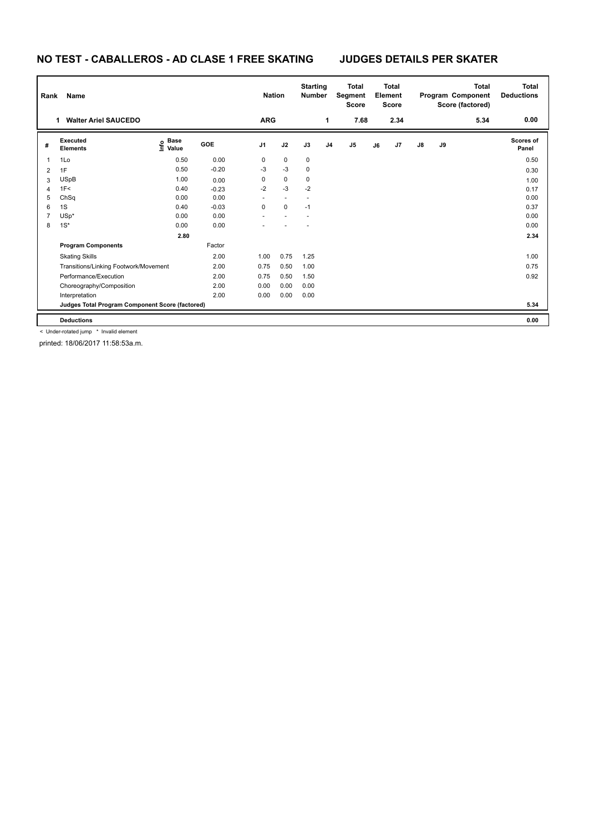# **NO TEST - CABALLEROS - AD CLASE 1 FREE SKATING JUDGES DETAILS PER SKATER**

| Rank | Name                                            |                                  |            | <b>Nation</b>  |             | <b>Starting</b><br><b>Number</b> |                | <b>Total</b><br>Segment<br><b>Score</b> |    | <b>Total</b><br>Element<br><b>Score</b> |               |    | <b>Total</b><br>Program Component<br>Score (factored) | <b>Total</b><br><b>Deductions</b> |
|------|-------------------------------------------------|----------------------------------|------------|----------------|-------------|----------------------------------|----------------|-----------------------------------------|----|-----------------------------------------|---------------|----|-------------------------------------------------------|-----------------------------------|
|      | <b>Walter Ariel SAUCEDO</b>                     |                                  |            | <b>ARG</b>     |             |                                  | 1              | 7.68                                    |    | 2.34                                    |               |    | 5.34                                                  | 0.00                              |
| #    | Executed<br><b>Elements</b>                     | <b>Base</b><br>e Base<br>⊆ Value | <b>GOE</b> | J <sub>1</sub> | J2          | J3                               | J <sub>4</sub> | J5                                      | J6 | J7                                      | $\mathsf{J}8$ | J9 |                                                       | Scores of<br>Panel                |
| -1   | 1Lo                                             | 0.50                             | 0.00       | 0              | $\mathbf 0$ | $\mathbf 0$                      |                |                                         |    |                                         |               |    |                                                       | 0.50                              |
| 2    | 1F                                              | 0.50                             | $-0.20$    | -3             | $-3$        | $\mathbf 0$                      |                |                                         |    |                                         |               |    |                                                       | 0.30                              |
| 3    | <b>USpB</b>                                     | 1.00                             | 0.00       | 0              | $\pmb{0}$   | 0                                |                |                                         |    |                                         |               |    |                                                       | 1.00                              |
| 4    | 1F<                                             | 0.40                             | $-0.23$    | $-2$           | $-3$        | $-2$                             |                |                                         |    |                                         |               |    |                                                       | 0.17                              |
| 5    | ChSq                                            | 0.00                             | 0.00       |                | $\sim$      |                                  |                |                                         |    |                                         |               |    |                                                       | 0.00                              |
| 6    | 1S                                              | 0.40                             | $-0.03$    | $\Omega$       | $\Omega$    | $-1$                             |                |                                         |    |                                         |               |    |                                                       | 0.37                              |
| 7    | $USp*$                                          | 0.00                             | 0.00       |                |             |                                  |                |                                         |    |                                         |               |    |                                                       | 0.00                              |
| 8    | $1S^*$                                          | 0.00                             | 0.00       |                |             |                                  |                |                                         |    |                                         |               |    |                                                       | 0.00                              |
|      |                                                 | 2.80                             |            |                |             |                                  |                |                                         |    |                                         |               |    |                                                       | 2.34                              |
|      | <b>Program Components</b>                       |                                  | Factor     |                |             |                                  |                |                                         |    |                                         |               |    |                                                       |                                   |
|      | <b>Skating Skills</b>                           |                                  | 2.00       | 1.00           | 0.75        | 1.25                             |                |                                         |    |                                         |               |    |                                                       | 1.00                              |
|      | Transitions/Linking Footwork/Movement           |                                  | 2.00       | 0.75           | 0.50        | 1.00                             |                |                                         |    |                                         |               |    |                                                       | 0.75                              |
|      | Performance/Execution                           |                                  | 2.00       | 0.75           | 0.50        | 1.50                             |                |                                         |    |                                         |               |    |                                                       | 0.92                              |
|      | Choreography/Composition                        |                                  | 2.00       | 0.00           | 0.00        | 0.00                             |                |                                         |    |                                         |               |    |                                                       |                                   |
|      | Interpretation                                  |                                  | 2.00       | 0.00           | 0.00        | 0.00                             |                |                                         |    |                                         |               |    |                                                       |                                   |
|      | Judges Total Program Component Score (factored) |                                  |            |                |             |                                  |                |                                         |    |                                         |               |    |                                                       | 5.34                              |
|      | <b>Deductions</b>                               |                                  |            |                |             |                                  |                |                                         |    |                                         |               |    |                                                       | 0.00                              |

< Under-rotated jump \* Invalid element

printed: 18/06/2017 11:58:53a.m.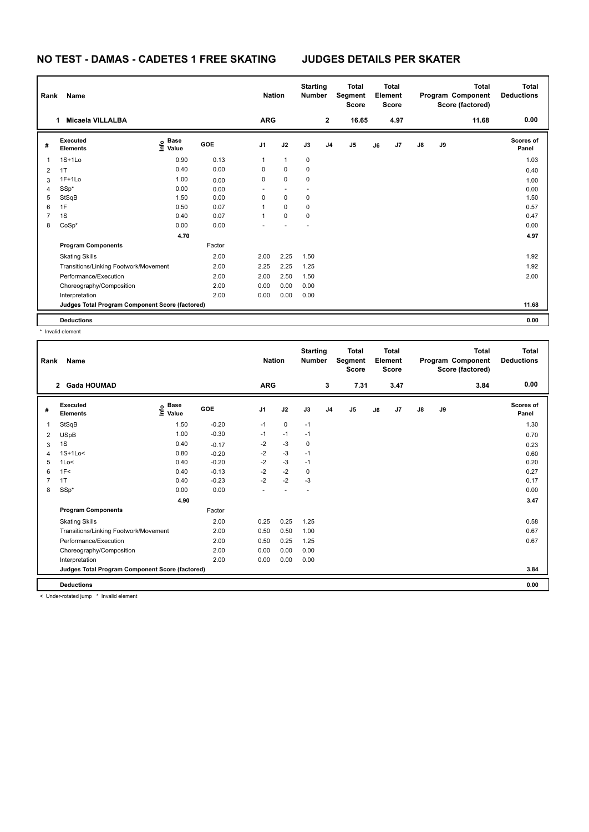### **NO TEST - DAMAS - CADETES 1 FREE SKATING JUDGES DETAILS PER SKATER**

| Rank           | Name                                            |                                  |            | <b>Nation</b>  |              | <b>Starting</b><br><b>Number</b> |                | <b>Total</b><br>Segment<br><b>Score</b> |    | <b>Total</b><br>Element<br><b>Score</b> |               |    | <b>Total</b><br>Program Component<br>Score (factored) | <b>Total</b><br><b>Deductions</b> |
|----------------|-------------------------------------------------|----------------------------------|------------|----------------|--------------|----------------------------------|----------------|-----------------------------------------|----|-----------------------------------------|---------------|----|-------------------------------------------------------|-----------------------------------|
|                | <b>Micaela VILLALBA</b><br>1                    |                                  |            | <b>ARG</b>     |              |                                  | $\mathbf{2}$   | 16.65                                   |    | 4.97                                    |               |    | 11.68                                                 | 0.00                              |
| #              | Executed<br><b>Elements</b>                     | <b>Base</b><br>e Base<br>⊆ Value | <b>GOE</b> | J <sub>1</sub> | J2           | J3                               | J <sub>4</sub> | J <sub>5</sub>                          | J6 | J7                                      | $\mathsf{J}8$ | J9 |                                                       | Scores of<br>Panel                |
| 1              | $1S+1L0$                                        | 0.90                             | 0.13       | $\mathbf{1}$   | $\mathbf{1}$ | $\mathbf 0$                      |                |                                         |    |                                         |               |    |                                                       | 1.03                              |
| 2              | 1T                                              | 0.40                             | 0.00       | 0              | $\mathbf 0$  | $\mathbf 0$                      |                |                                         |    |                                         |               |    |                                                       | 0.40                              |
| 3              | $1F+1Lo$                                        | 1.00                             | 0.00       | 0              | $\mathbf 0$  | $\mathbf 0$                      |                |                                         |    |                                         |               |    |                                                       | 1.00                              |
| 4              | SSp*                                            | 0.00                             | 0.00       |                |              |                                  |                |                                         |    |                                         |               |    |                                                       | 0.00                              |
| 5              | StSqB                                           | 1.50                             | 0.00       | 0              | $\mathbf 0$  | $\mathbf 0$                      |                |                                         |    |                                         |               |    |                                                       | 1.50                              |
| 6              | 1F                                              | 0.50                             | 0.07       | 1              | $\mathbf 0$  | 0                                |                |                                         |    |                                         |               |    |                                                       | 0.57                              |
| $\overline{7}$ | 1S                                              | 0.40                             | 0.07       | 1              | $\mathbf 0$  | 0                                |                |                                         |    |                                         |               |    |                                                       | 0.47                              |
| 8              | CoSp*                                           | 0.00                             | 0.00       |                |              |                                  |                |                                         |    |                                         |               |    |                                                       | 0.00                              |
|                |                                                 | 4.70                             |            |                |              |                                  |                |                                         |    |                                         |               |    |                                                       | 4.97                              |
|                | <b>Program Components</b>                       |                                  | Factor     |                |              |                                  |                |                                         |    |                                         |               |    |                                                       |                                   |
|                | <b>Skating Skills</b>                           |                                  | 2.00       | 2.00           | 2.25         | 1.50                             |                |                                         |    |                                         |               |    |                                                       | 1.92                              |
|                | Transitions/Linking Footwork/Movement           |                                  | 2.00       | 2.25           | 2.25         | 1.25                             |                |                                         |    |                                         |               |    |                                                       | 1.92                              |
|                | Performance/Execution                           |                                  | 2.00       | 2.00           | 2.50         | 1.50                             |                |                                         |    |                                         |               |    |                                                       | 2.00                              |
|                | Choreography/Composition                        |                                  | 2.00       | 0.00           | 0.00         | 0.00                             |                |                                         |    |                                         |               |    |                                                       |                                   |
|                | Interpretation                                  |                                  | 2.00       | 0.00           | 0.00         | 0.00                             |                |                                         |    |                                         |               |    |                                                       |                                   |
|                | Judges Total Program Component Score (factored) |                                  |            |                |              |                                  |                |                                         |    |                                         |               |    |                                                       | 11.68                             |
|                | <b>Deductions</b>                               |                                  |            |                |              |                                  |                |                                         |    |                                         |               |    |                                                       | 0.00                              |

\* Invalid element

| Rank | Name                                            |                            |            | <b>Nation</b>  |                      | <b>Starting</b><br><b>Number</b> |                | <b>Total</b><br>Segment<br><b>Score</b> |    | <b>Total</b><br>Element<br><b>Score</b> |               |    | <b>Total</b><br>Program Component<br>Score (factored) | <b>Total</b><br><b>Deductions</b> |
|------|-------------------------------------------------|----------------------------|------------|----------------|----------------------|----------------------------------|----------------|-----------------------------------------|----|-----------------------------------------|---------------|----|-------------------------------------------------------|-----------------------------------|
|      | <b>Gada HOUMAD</b><br>$\mathbf{2}$              |                            |            | <b>ARG</b>     |                      |                                  | 3              | 7.31                                    |    | 3.47                                    |               |    | 3.84                                                  | 0.00                              |
| #    | Executed<br><b>Elements</b>                     | <b>Base</b><br>۴ů<br>Value | <b>GOE</b> | J <sub>1</sub> | J2                   | J3                               | J <sub>4</sub> | J <sub>5</sub>                          | J6 | J7                                      | $\mathsf{J}8$ | J9 |                                                       | Scores of<br>Panel                |
|      | StSqB                                           | 1.50                       | $-0.20$    | $-1$           | $\mathbf 0$          | $-1$                             |                |                                         |    |                                         |               |    |                                                       | 1.30                              |
| 2    | <b>USpB</b>                                     | 1.00                       | $-0.30$    | $-1$           | $-1$                 | $-1$                             |                |                                         |    |                                         |               |    |                                                       | 0.70                              |
| 3    | 1S                                              | 0.40                       | $-0.17$    | $-2$           | $-3$                 | 0                                |                |                                         |    |                                         |               |    |                                                       | 0.23                              |
|      | $1S+1Lo<$                                       | 0.80                       | $-0.20$    | $-2$           | $-3$                 | $-1$                             |                |                                         |    |                                         |               |    |                                                       | 0.60                              |
| 5    | 1Lo<                                            | 0.40                       | $-0.20$    | $-2$           | $-3$                 | $-1$                             |                |                                         |    |                                         |               |    |                                                       | 0.20                              |
| 6    | 1F<                                             | 0.40                       | $-0.13$    | $-2$           | $-2$                 | 0                                |                |                                         |    |                                         |               |    |                                                       | 0.27                              |
|      | 1T                                              | 0.40                       | $-0.23$    | $-2$           | $-2$                 | $-3$                             |                |                                         |    |                                         |               |    |                                                       | 0.17                              |
| 8    | SSp*                                            | 0.00                       | 0.00       |                | $\ddot{\phantom{1}}$ | $\overline{\phantom{a}}$         |                |                                         |    |                                         |               |    |                                                       | 0.00                              |
|      |                                                 | 4.90                       |            |                |                      |                                  |                |                                         |    |                                         |               |    |                                                       | 3.47                              |
|      | <b>Program Components</b>                       |                            | Factor     |                |                      |                                  |                |                                         |    |                                         |               |    |                                                       |                                   |
|      | <b>Skating Skills</b>                           |                            | 2.00       | 0.25           | 0.25                 | 1.25                             |                |                                         |    |                                         |               |    |                                                       | 0.58                              |
|      | Transitions/Linking Footwork/Movement           |                            | 2.00       | 0.50           | 0.50                 | 1.00                             |                |                                         |    |                                         |               |    |                                                       | 0.67                              |
|      | Performance/Execution                           |                            | 2.00       | 0.50           | 0.25                 | 1.25                             |                |                                         |    |                                         |               |    |                                                       | 0.67                              |
|      | Choreography/Composition                        |                            | 2.00       | 0.00           | 0.00                 | 0.00                             |                |                                         |    |                                         |               |    |                                                       |                                   |
|      | Interpretation                                  |                            | 2.00       | 0.00           | 0.00                 | 0.00                             |                |                                         |    |                                         |               |    |                                                       |                                   |
|      | Judges Total Program Component Score (factored) |                            |            |                |                      |                                  |                |                                         |    |                                         |               |    |                                                       | 3.84                              |
|      | <b>Deductions</b>                               |                            |            |                |                      |                                  |                |                                         |    |                                         |               |    |                                                       | 0.00                              |

< Under-rotated jump \* Invalid element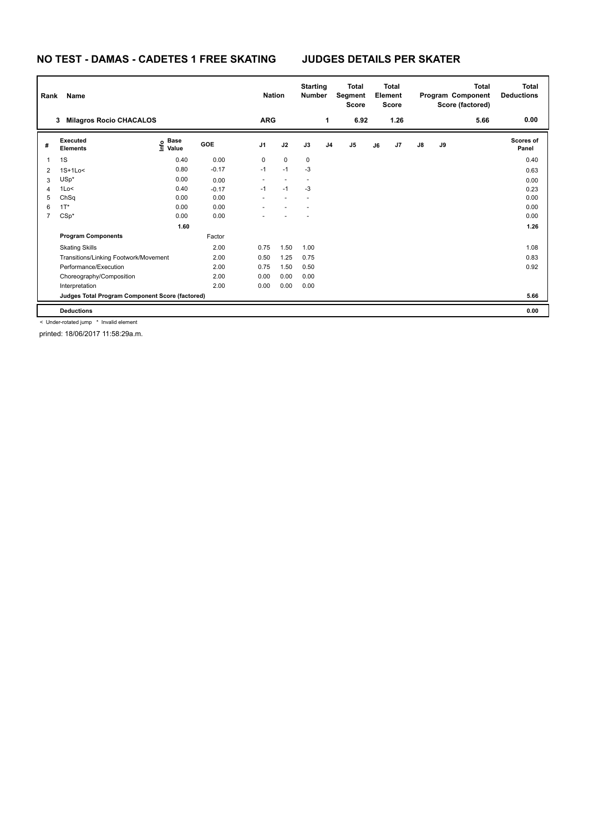### **NO TEST - DAMAS - CADETES 1 FREE SKATING JUDGES DETAILS PER SKATER**

| Rank           | Name                                            |                                  |         | <b>Nation</b>  |                          | <b>Starting</b><br><b>Number</b> |                | <b>Total</b><br>Segment<br><b>Score</b> |    | <b>Total</b><br><b>Element</b><br><b>Score</b> |               |    | Total<br>Program Component<br>Score (factored) | <b>Total</b><br><b>Deductions</b> |
|----------------|-------------------------------------------------|----------------------------------|---------|----------------|--------------------------|----------------------------------|----------------|-----------------------------------------|----|------------------------------------------------|---------------|----|------------------------------------------------|-----------------------------------|
|                | <b>Milagros Rocio CHACALOS</b><br>3             |                                  |         | <b>ARG</b>     |                          |                                  | 1              | 6.92                                    |    | 1.26                                           |               |    | 5.66                                           | 0.00                              |
| #              | Executed<br><b>Elements</b>                     | <b>Base</b><br>e Base<br>⊆ Value | GOE     | J <sub>1</sub> | J2                       | J3                               | J <sub>4</sub> | J5                                      | J6 | J7                                             | $\mathsf{J}8$ | J9 |                                                | Scores of<br>Panel                |
|                | 1S                                              | 0.40                             | 0.00    | 0              | $\mathbf 0$              | 0                                |                |                                         |    |                                                |               |    |                                                | 0.40                              |
| 2              | $1S+1Lo<$                                       | 0.80                             | $-0.17$ | $-1$           | $-1$                     | $-3$                             |                |                                         |    |                                                |               |    |                                                | 0.63                              |
| 3              | $USp*$                                          | 0.00                             | 0.00    | $\sim$         | $\overline{\phantom{a}}$ |                                  |                |                                         |    |                                                |               |    |                                                | 0.00                              |
| 4              | 1Lo<                                            | 0.40                             | $-0.17$ | $-1$           | $-1$                     | -3                               |                |                                         |    |                                                |               |    |                                                | 0.23                              |
| 5              | ChSq                                            | 0.00                             | 0.00    |                |                          |                                  |                |                                         |    |                                                |               |    |                                                | 0.00                              |
| 6              | $1T^*$                                          | 0.00                             | 0.00    |                |                          |                                  |                |                                         |    |                                                |               |    |                                                | 0.00                              |
| $\overline{7}$ | $CSp*$                                          | 0.00                             | 0.00    |                |                          |                                  |                |                                         |    |                                                |               |    |                                                | 0.00                              |
|                |                                                 | 1.60                             |         |                |                          |                                  |                |                                         |    |                                                |               |    |                                                | 1.26                              |
|                | <b>Program Components</b>                       |                                  | Factor  |                |                          |                                  |                |                                         |    |                                                |               |    |                                                |                                   |
|                | <b>Skating Skills</b>                           |                                  | 2.00    | 0.75           | 1.50                     | 1.00                             |                |                                         |    |                                                |               |    |                                                | 1.08                              |
|                | Transitions/Linking Footwork/Movement           |                                  | 2.00    | 0.50           | 1.25                     | 0.75                             |                |                                         |    |                                                |               |    |                                                | 0.83                              |
|                | Performance/Execution                           |                                  | 2.00    | 0.75           | 1.50                     | 0.50                             |                |                                         |    |                                                |               |    |                                                | 0.92                              |
|                | Choreography/Composition                        |                                  | 2.00    | 0.00           | 0.00                     | 0.00                             |                |                                         |    |                                                |               |    |                                                |                                   |
|                | Interpretation                                  |                                  | 2.00    | 0.00           | 0.00                     | 0.00                             |                |                                         |    |                                                |               |    |                                                |                                   |
|                | Judges Total Program Component Score (factored) |                                  |         |                |                          |                                  |                |                                         |    |                                                |               |    |                                                | 5.66                              |
|                | <b>Deductions</b>                               |                                  |         |                |                          |                                  |                |                                         |    |                                                |               |    |                                                | 0.00                              |

< Under-rotated jump \* Invalid element

printed: 18/06/2017 11:58:29a.m.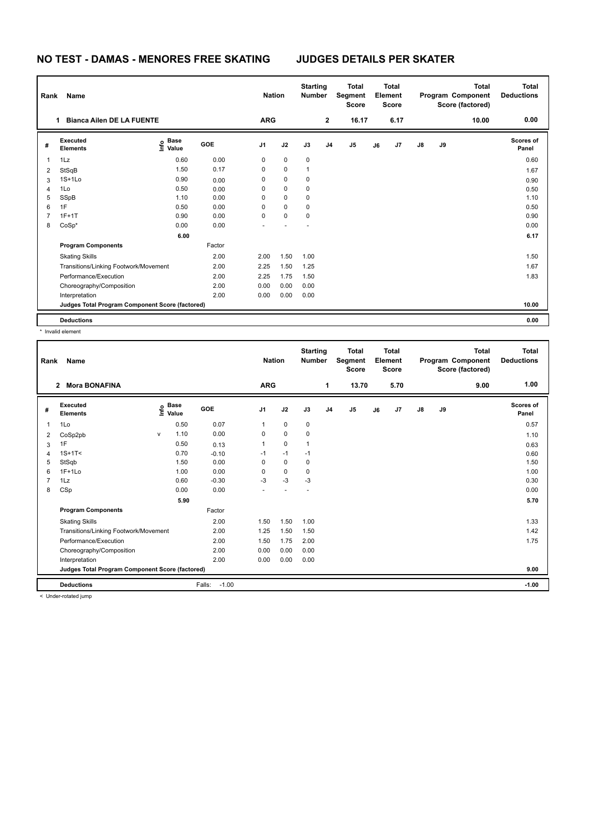# **NO TEST - DAMAS - MENORES FREE SKATING JUDGES DETAILS PER SKATER**

| Rank | Name                                            |                                  |        | <b>Nation</b> |                | <b>Starting</b><br><b>Number</b> |                | <b>Total</b><br>Segment<br><b>Score</b> |    | Total<br>Element<br><b>Score</b> |            |    | <b>Total</b><br>Program Component<br>Score (factored) | <b>Total</b><br><b>Deductions</b> |
|------|-------------------------------------------------|----------------------------------|--------|---------------|----------------|----------------------------------|----------------|-----------------------------------------|----|----------------------------------|------------|----|-------------------------------------------------------|-----------------------------------|
|      | <b>Bianca Ailen DE LA FUENTE</b>                |                                  |        | <b>ARG</b>    |                |                                  | $\mathbf{2}$   | 16.17                                   |    | 6.17                             |            |    | 10.00                                                 | 0.00                              |
| #    | Executed<br><b>Elements</b>                     | <b>Base</b><br>o Base<br>⊆ Value | GOE    | J1            | J2             | J3                               | J <sub>4</sub> | J <sub>5</sub>                          | J6 | J7                               | ${\sf J8}$ | J9 |                                                       | <b>Scores of</b><br>Panel         |
| 1    | 1Lz                                             | 0.60                             | 0.00   | 0             | $\pmb{0}$      | 0                                |                |                                         |    |                                  |            |    |                                                       | 0.60                              |
| 2    | StSqB                                           | 1.50                             | 0.17   | 0             | $\mathbf 0$    | 1                                |                |                                         |    |                                  |            |    |                                                       | 1.67                              |
| 3    | $1S+1Lo$                                        | 0.90                             | 0.00   | 0             | $\mathbf 0$    | 0                                |                |                                         |    |                                  |            |    |                                                       | 0.90                              |
| 4    | 1Lo                                             | 0.50                             | 0.00   | 0             | $\mathbf 0$    | 0                                |                |                                         |    |                                  |            |    |                                                       | 0.50                              |
| 5    | SSpB                                            | 1.10                             | 0.00   | 0             | $\mathbf 0$    | 0                                |                |                                         |    |                                  |            |    |                                                       | 1.10                              |
| 6    | 1F                                              | 0.50                             | 0.00   | 0             | $\mathbf 0$    | 0                                |                |                                         |    |                                  |            |    |                                                       | 0.50                              |
| 7    | $1F+1T$                                         | 0.90                             | 0.00   | 0             | $\mathbf 0$    | 0                                |                |                                         |    |                                  |            |    |                                                       | 0.90                              |
| 8    | $CoSp*$                                         | 0.00                             | 0.00   | ٠             | $\overline{a}$ | $\overline{\phantom{a}}$         |                |                                         |    |                                  |            |    |                                                       | 0.00                              |
|      |                                                 | 6.00                             |        |               |                |                                  |                |                                         |    |                                  |            |    |                                                       | 6.17                              |
|      | <b>Program Components</b>                       |                                  | Factor |               |                |                                  |                |                                         |    |                                  |            |    |                                                       |                                   |
|      | <b>Skating Skills</b>                           |                                  | 2.00   | 2.00          | 1.50           | 1.00                             |                |                                         |    |                                  |            |    |                                                       | 1.50                              |
|      | Transitions/Linking Footwork/Movement           |                                  | 2.00   | 2.25          | 1.50           | 1.25                             |                |                                         |    |                                  |            |    |                                                       | 1.67                              |
|      | Performance/Execution                           |                                  | 2.00   | 2.25          | 1.75           | 1.50                             |                |                                         |    |                                  |            |    |                                                       | 1.83                              |
|      | Choreography/Composition                        |                                  | 2.00   | 0.00          | 0.00           | 0.00                             |                |                                         |    |                                  |            |    |                                                       |                                   |
|      | Interpretation                                  |                                  | 2.00   | 0.00          | 0.00           | 0.00                             |                |                                         |    |                                  |            |    |                                                       |                                   |
|      | Judges Total Program Component Score (factored) |                                  |        |               |                |                                  |                |                                         |    |                                  |            |    |                                                       | 10.00                             |
|      | <b>Deductions</b>                               |                                  |        |               |                |                                  |                |                                         |    |                                  |            |    |                                                       | 0.00                              |

\* Invalid element

| Rank | Name                                            |              |                      |                   | <b>Nation</b>  |      | <b>Starting</b><br><b>Number</b> |                | <b>Total</b><br>Segment<br><b>Score</b> |    | <b>Total</b><br>Element<br><b>Score</b> |               |    | <b>Total</b><br>Program Component<br>Score (factored) | <b>Total</b><br><b>Deductions</b> |
|------|-------------------------------------------------|--------------|----------------------|-------------------|----------------|------|----------------------------------|----------------|-----------------------------------------|----|-----------------------------------------|---------------|----|-------------------------------------------------------|-----------------------------------|
|      | <b>Mora BONAFINA</b><br>$\mathbf{2}$            |              |                      |                   | <b>ARG</b>     |      |                                  | 1              | 13.70                                   |    | 5.70                                    |               |    | 9.00                                                  | 1.00                              |
| #    | Executed<br><b>Elements</b>                     | ١nf٥         | <b>Base</b><br>Value | <b>GOE</b>        | J <sub>1</sub> | J2   | J3                               | J <sub>4</sub> | J <sub>5</sub>                          | J6 | J7                                      | $\mathsf{J}8$ | J9 |                                                       | Scores of<br>Panel                |
| 1    | 1Lo                                             |              | 0.50                 | 0.07              | 1              | 0    | 0                                |                |                                         |    |                                         |               |    |                                                       | 0.57                              |
| 2    | CoSp2pb                                         | $\mathsf{V}$ | 1.10                 | 0.00              | 0              | 0    | 0                                |                |                                         |    |                                         |               |    |                                                       | 1.10                              |
| 3    | 1F                                              |              | 0.50                 | 0.13              | 1              | 0    | 1                                |                |                                         |    |                                         |               |    |                                                       | 0.63                              |
| 4    | $1S+1T<$                                        |              | 0.70                 | $-0.10$           | $-1$           | $-1$ | $-1$                             |                |                                         |    |                                         |               |    |                                                       | 0.60                              |
| 5    | StSqb                                           |              | 1.50                 | 0.00              | 0              | 0    | 0                                |                |                                         |    |                                         |               |    |                                                       | 1.50                              |
| 6    | $1F+1Lo$                                        |              | 1.00                 | 0.00              | $\Omega$       | 0    | $\mathbf 0$                      |                |                                         |    |                                         |               |    |                                                       | 1.00                              |
|      | 1Lz                                             |              | 0.60                 | $-0.30$           | $-3$           | $-3$ | $-3$                             |                |                                         |    |                                         |               |    |                                                       | 0.30                              |
| 8    | CSp                                             |              | 0.00                 | 0.00              |                |      |                                  |                |                                         |    |                                         |               |    |                                                       | 0.00                              |
|      |                                                 |              | 5.90                 |                   |                |      |                                  |                |                                         |    |                                         |               |    |                                                       | 5.70                              |
|      | <b>Program Components</b>                       |              |                      | Factor            |                |      |                                  |                |                                         |    |                                         |               |    |                                                       |                                   |
|      | <b>Skating Skills</b>                           |              |                      | 2.00              | 1.50           | 1.50 | 1.00                             |                |                                         |    |                                         |               |    |                                                       | 1.33                              |
|      | Transitions/Linking Footwork/Movement           |              |                      | 2.00              | 1.25           | 1.50 | 1.50                             |                |                                         |    |                                         |               |    |                                                       | 1.42                              |
|      | Performance/Execution                           |              |                      | 2.00              | 1.50           | 1.75 | 2.00                             |                |                                         |    |                                         |               |    |                                                       | 1.75                              |
|      | Choreography/Composition                        |              |                      | 2.00              | 0.00           | 0.00 | 0.00                             |                |                                         |    |                                         |               |    |                                                       |                                   |
|      | Interpretation                                  |              |                      | 2.00              | 0.00           | 0.00 | 0.00                             |                |                                         |    |                                         |               |    |                                                       |                                   |
|      | Judges Total Program Component Score (factored) |              |                      |                   |                |      |                                  |                |                                         |    |                                         |               |    |                                                       | 9.00                              |
|      | <b>Deductions</b>                               |              |                      | Falls:<br>$-1.00$ |                |      |                                  |                |                                         |    |                                         |               |    |                                                       | $-1.00$                           |
|      | a Under retained irrese                         |              |                      |                   |                |      |                                  |                |                                         |    |                                         |               |    |                                                       |                                   |

< Under-rotated jump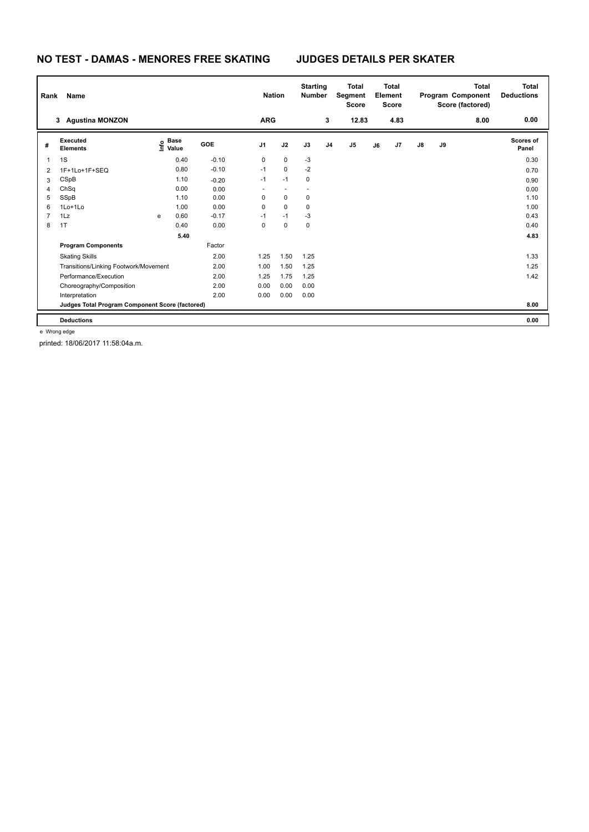## **NO TEST - DAMAS - MENORES FREE SKATING JUDGES DETAILS PER SKATER**

| Rank           | Name                                            |   |                                  |         |                          | <b>Nation</b>            | <b>Starting</b><br><b>Number</b> |                | <b>Total</b><br>Segment<br><b>Score</b> |    | <b>Total</b><br>Element<br><b>Score</b> |               |    | <b>Total</b><br>Program Component<br>Score (factored) | <b>Total</b><br><b>Deductions</b> |
|----------------|-------------------------------------------------|---|----------------------------------|---------|--------------------------|--------------------------|----------------------------------|----------------|-----------------------------------------|----|-----------------------------------------|---------------|----|-------------------------------------------------------|-----------------------------------|
|                | 3 Agustina MONZON                               |   |                                  |         | <b>ARG</b>               |                          |                                  | 3              | 12.83                                   |    | 4.83                                    |               |    | 8.00                                                  | 0.00                              |
| #              | Executed<br><b>Elements</b>                     |   | <b>Base</b><br>e Base<br>⊆ Value | GOE     | J1                       | J2                       | J3                               | J <sub>4</sub> | J <sub>5</sub>                          | J6 | J7                                      | $\mathsf{J}8$ | J9 |                                                       | Scores of<br>Panel                |
| 1              | 1S                                              |   | 0.40                             | $-0.10$ | 0                        | $\mathbf 0$              | $-3$                             |                |                                         |    |                                         |               |    |                                                       | 0.30                              |
| 2              | 1F+1Lo+1F+SEQ                                   |   | 0.80                             | $-0.10$ | $-1$                     | $\mathbf 0$              | $-2$                             |                |                                         |    |                                         |               |    |                                                       | 0.70                              |
| 3              | CSpB                                            |   | 1.10                             | $-0.20$ | $-1$                     | $-1$                     | 0                                |                |                                         |    |                                         |               |    |                                                       | 0.90                              |
| 4              | ChSq                                            |   | 0.00                             | 0.00    | $\overline{\phantom{a}}$ | $\overline{\phantom{a}}$ |                                  |                |                                         |    |                                         |               |    |                                                       | 0.00                              |
| 5              | SSpB                                            |   | 1.10                             | 0.00    | 0                        | $\mathbf 0$              | 0                                |                |                                         |    |                                         |               |    |                                                       | 1.10                              |
| 6              | 1Lo+1Lo                                         |   | 1.00                             | 0.00    | 0                        | $\mathbf 0$              | 0                                |                |                                         |    |                                         |               |    |                                                       | 1.00                              |
| $\overline{7}$ | 1Lz                                             | e | 0.60                             | $-0.17$ | $-1$                     | $-1$                     | $-3$                             |                |                                         |    |                                         |               |    |                                                       | 0.43                              |
| 8              | 1T                                              |   | 0.40                             | 0.00    | 0                        | $\mathbf 0$              | 0                                |                |                                         |    |                                         |               |    |                                                       | 0.40                              |
|                |                                                 |   | 5.40                             |         |                          |                          |                                  |                |                                         |    |                                         |               |    |                                                       | 4.83                              |
|                | <b>Program Components</b>                       |   |                                  | Factor  |                          |                          |                                  |                |                                         |    |                                         |               |    |                                                       |                                   |
|                | <b>Skating Skills</b>                           |   |                                  | 2.00    | 1.25                     | 1.50                     | 1.25                             |                |                                         |    |                                         |               |    |                                                       | 1.33                              |
|                | Transitions/Linking Footwork/Movement           |   |                                  | 2.00    | 1.00                     | 1.50                     | 1.25                             |                |                                         |    |                                         |               |    |                                                       | 1.25                              |
|                | Performance/Execution                           |   |                                  | 2.00    | 1.25                     | 1.75                     | 1.25                             |                |                                         |    |                                         |               |    |                                                       | 1.42                              |
|                | Choreography/Composition                        |   |                                  | 2.00    | 0.00                     | 0.00                     | 0.00                             |                |                                         |    |                                         |               |    |                                                       |                                   |
|                | Interpretation                                  |   |                                  | 2.00    | 0.00                     | 0.00                     | 0.00                             |                |                                         |    |                                         |               |    |                                                       |                                   |
|                | Judges Total Program Component Score (factored) |   |                                  |         |                          |                          |                                  |                |                                         |    |                                         |               |    |                                                       | 8.00                              |
|                | <b>Deductions</b>                               |   |                                  |         |                          |                          |                                  |                |                                         |    |                                         |               |    |                                                       | 0.00                              |

e Wrong edge

printed: 18/06/2017 11:58:04a.m.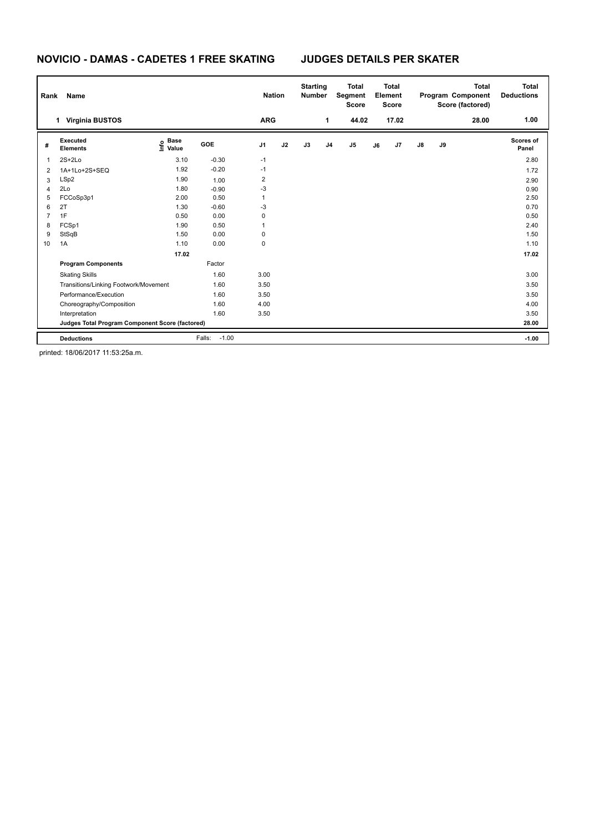### **NOVICIO - DAMAS - CADETES 1 FREE SKATING JUDGES DETAILS PER SKATER**

| Rank           | Name                                            |                              |                   | <b>Nation</b>  |    | <b>Starting</b><br><b>Number</b> |                | <b>Total</b><br>Segment<br><b>Score</b> |    | <b>Total</b><br>Element<br><b>Score</b> |               |    | <b>Total</b><br>Program Component<br>Score (factored) | <b>Total</b><br><b>Deductions</b> |
|----------------|-------------------------------------------------|------------------------------|-------------------|----------------|----|----------------------------------|----------------|-----------------------------------------|----|-----------------------------------------|---------------|----|-------------------------------------------------------|-----------------------------------|
|                | <b>Virginia BUSTOS</b><br>$\mathbf{1}$          |                              |                   | <b>ARG</b>     |    |                                  | 1              | 44.02                                   |    | 17.02                                   |               |    | 28.00                                                 | 1.00                              |
| #              | Executed<br><b>Elements</b>                     | <b>Base</b><br>Info<br>Value | <b>GOE</b>        | J <sub>1</sub> | J2 | J3                               | J <sub>4</sub> | J5                                      | J6 | J7                                      | $\mathsf{J}8$ | J9 |                                                       | Scores of<br>Panel                |
| $\mathbf 1$    | $2S+2Lo$                                        | 3.10                         | $-0.30$           | $-1$           |    |                                  |                |                                         |    |                                         |               |    |                                                       | 2.80                              |
| $\overline{2}$ | 1A+1Lo+2S+SEQ                                   | 1.92                         | $-0.20$           | $-1$           |    |                                  |                |                                         |    |                                         |               |    |                                                       | 1.72                              |
| 3              | LSp2                                            | 1.90                         | 1.00              | 2              |    |                                  |                |                                         |    |                                         |               |    |                                                       | 2.90                              |
| $\overline{4}$ | 2Lo                                             | 1.80                         | $-0.90$           | -3             |    |                                  |                |                                         |    |                                         |               |    |                                                       | 0.90                              |
| 5              | FCCoSp3p1                                       | 2.00                         | 0.50              | 1              |    |                                  |                |                                         |    |                                         |               |    |                                                       | 2.50                              |
| 6              | 2T                                              | 1.30                         | $-0.60$           | $-3$           |    |                                  |                |                                         |    |                                         |               |    |                                                       | 0.70                              |
| $\overline{7}$ | 1F                                              | 0.50                         | 0.00              | 0              |    |                                  |                |                                         |    |                                         |               |    |                                                       | 0.50                              |
| 8              | FCSp1                                           | 1.90                         | 0.50              | 1              |    |                                  |                |                                         |    |                                         |               |    |                                                       | 2.40                              |
| 9              | StSqB                                           | 1.50                         | 0.00              | 0              |    |                                  |                |                                         |    |                                         |               |    |                                                       | 1.50                              |
| 10             | 1A                                              | 1.10                         | 0.00              | 0              |    |                                  |                |                                         |    |                                         |               |    |                                                       | 1.10                              |
|                |                                                 | 17.02                        |                   |                |    |                                  |                |                                         |    |                                         |               |    |                                                       | 17.02                             |
|                | <b>Program Components</b>                       |                              | Factor            |                |    |                                  |                |                                         |    |                                         |               |    |                                                       |                                   |
|                | <b>Skating Skills</b>                           |                              | 1.60              | 3.00           |    |                                  |                |                                         |    |                                         |               |    |                                                       | 3.00                              |
|                | Transitions/Linking Footwork/Movement           |                              | 1.60              | 3.50           |    |                                  |                |                                         |    |                                         |               |    |                                                       | 3.50                              |
|                | Performance/Execution                           |                              | 1.60              | 3.50           |    |                                  |                |                                         |    |                                         |               |    |                                                       | 3.50                              |
|                | Choreography/Composition                        |                              | 1.60              | 4.00           |    |                                  |                |                                         |    |                                         |               |    |                                                       | 4.00                              |
|                | Interpretation                                  |                              | 1.60              | 3.50           |    |                                  |                |                                         |    |                                         |               |    |                                                       | 3.50                              |
|                | Judges Total Program Component Score (factored) |                              |                   |                |    |                                  |                |                                         |    |                                         |               |    |                                                       | 28.00                             |
|                | <b>Deductions</b>                               |                              | $-1.00$<br>Falls: |                |    |                                  |                |                                         |    |                                         |               |    |                                                       | $-1.00$                           |

printed: 18/06/2017 11:53:25a.m.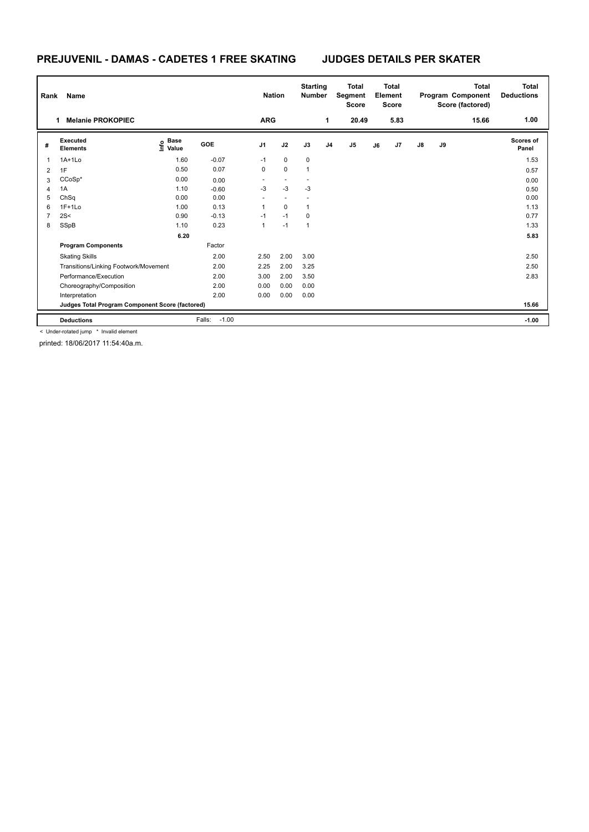## **PREJUVENIL - DAMAS - CADETES 1 FREE SKATING JUDGES DETAILS PER SKATER**

| Rank | Name                                            |                                  |                   | <b>Nation</b> |             | <b>Starting</b><br><b>Number</b> |                | <b>Total</b><br>Segment<br><b>Score</b> |    | <b>Total</b><br>Element<br><b>Score</b> |    |    | <b>Total</b><br>Program Component<br>Score (factored) | Total<br><b>Deductions</b> |
|------|-------------------------------------------------|----------------------------------|-------------------|---------------|-------------|----------------------------------|----------------|-----------------------------------------|----|-----------------------------------------|----|----|-------------------------------------------------------|----------------------------|
|      | <b>Melanie PROKOPIEC</b><br>1                   |                                  |                   | <b>ARG</b>    |             |                                  | 1              | 20.49                                   |    | 5.83                                    |    |    | 15.66                                                 | 1.00                       |
| #    | <b>Executed</b><br><b>Elements</b>              | <b>Base</b><br>e Base<br>⊆ Value | GOE               | J1            | J2          | J3                               | J <sub>4</sub> | J <sub>5</sub>                          | J6 | J7                                      | J8 | J9 |                                                       | <b>Scores of</b><br>Panel  |
| 1    | $1A+1L0$                                        | 1.60                             | $-0.07$           | $-1$          | $\mathbf 0$ | 0                                |                |                                         |    |                                         |    |    |                                                       | 1.53                       |
| 2    | 1F                                              | 0.50                             | 0.07              | 0             | $\mathbf 0$ | $\overline{1}$                   |                |                                         |    |                                         |    |    |                                                       | 0.57                       |
| 3    | $CCoSp*$                                        | 0.00                             | 0.00              |               |             |                                  |                |                                         |    |                                         |    |    |                                                       | 0.00                       |
| 4    | 1A                                              | 1.10                             | $-0.60$           | $-3$          | $-3$        | $-3$                             |                |                                         |    |                                         |    |    |                                                       | 0.50                       |
| 5    | ChSq                                            | 0.00                             | 0.00              |               |             |                                  |                |                                         |    |                                         |    |    |                                                       | 0.00                       |
| 6    | $1F+1Lo$                                        | 1.00                             | 0.13              | 1             | $\mathbf 0$ | $\mathbf{1}$                     |                |                                         |    |                                         |    |    |                                                       | 1.13                       |
| 7    | 2S<                                             | 0.90                             | $-0.13$           | $-1$          | $-1$        | 0                                |                |                                         |    |                                         |    |    |                                                       | 0.77                       |
| 8    | SSpB                                            | 1.10                             | 0.23              | 1             | $-1$        | $\mathbf{1}$                     |                |                                         |    |                                         |    |    |                                                       | 1.33                       |
|      |                                                 | 6.20                             |                   |               |             |                                  |                |                                         |    |                                         |    |    |                                                       | 5.83                       |
|      | <b>Program Components</b>                       |                                  | Factor            |               |             |                                  |                |                                         |    |                                         |    |    |                                                       |                            |
|      | <b>Skating Skills</b>                           |                                  | 2.00              | 2.50          | 2.00        | 3.00                             |                |                                         |    |                                         |    |    |                                                       | 2.50                       |
|      | Transitions/Linking Footwork/Movement           |                                  | 2.00              | 2.25          | 2.00        | 3.25                             |                |                                         |    |                                         |    |    |                                                       | 2.50                       |
|      | Performance/Execution                           |                                  | 2.00              | 3.00          | 2.00        | 3.50                             |                |                                         |    |                                         |    |    |                                                       | 2.83                       |
|      | Choreography/Composition                        |                                  | 2.00              | 0.00          | 0.00        | 0.00                             |                |                                         |    |                                         |    |    |                                                       |                            |
|      | Interpretation                                  |                                  | 2.00              | 0.00          | 0.00        | 0.00                             |                |                                         |    |                                         |    |    |                                                       |                            |
|      | Judges Total Program Component Score (factored) |                                  |                   |               |             |                                  |                |                                         |    |                                         |    |    |                                                       | 15.66                      |
|      | <b>Deductions</b>                               |                                  | $-1.00$<br>Falls: |               |             |                                  |                |                                         |    |                                         |    |    |                                                       | $-1.00$                    |

< Under-rotated jump \* Invalid element

printed: 18/06/2017 11:54:40a.m.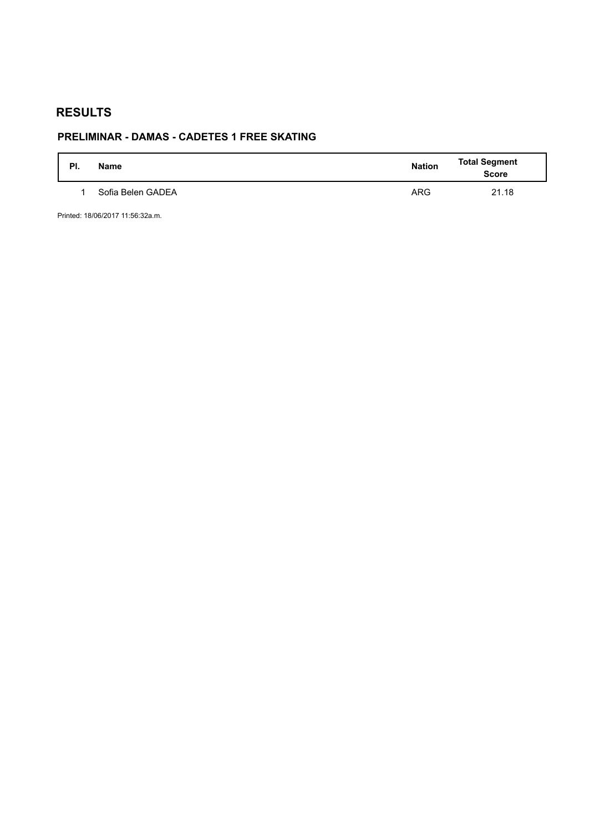# **RESULTS**

# **PRELIMINAR - DAMAS - CADETES 1 FREE SKATING**

| PI. | <b>Name</b>       | <b>Nation</b> | <b>Total Segment</b><br><b>Score</b> |
|-----|-------------------|---------------|--------------------------------------|
|     | Sofia Belen GADEA | <b>ARG</b>    | 21.18                                |

Printed: 18/06/2017 11:56:32a.m.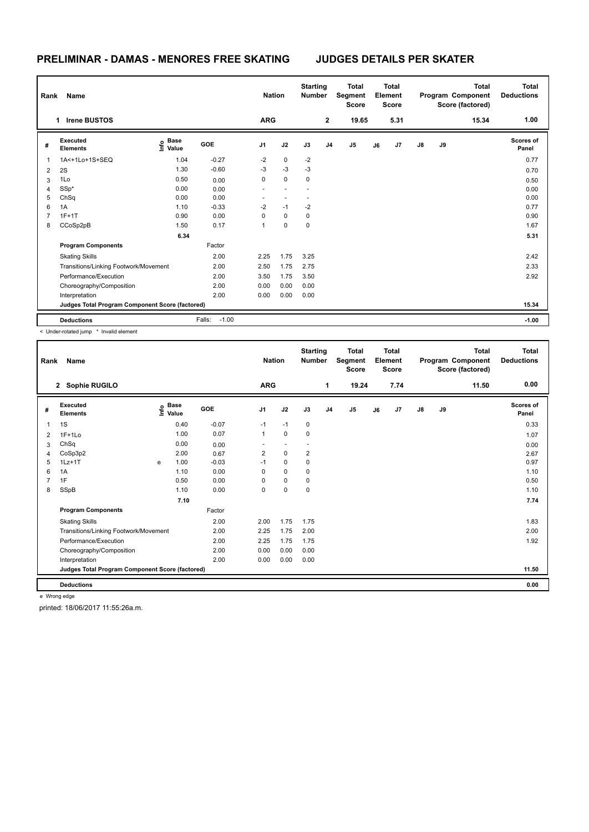### **PRELIMINAR - DAMAS - MENORES FREE SKATING JUDGES DETAILS PER SKATER**

| Rank           | Name                                            |                           |                   | <b>Nation</b>  |             | <b>Starting</b><br><b>Number</b> |                | <b>Total</b><br>Segment<br><b>Score</b> |    | <b>Total</b><br>Element<br><b>Score</b> |               |    | <b>Total</b><br>Program Component<br>Score (factored) | <b>Total</b><br><b>Deductions</b> |
|----------------|-------------------------------------------------|---------------------------|-------------------|----------------|-------------|----------------------------------|----------------|-----------------------------------------|----|-----------------------------------------|---------------|----|-------------------------------------------------------|-----------------------------------|
|                | <b>Irene BUSTOS</b><br>1                        |                           |                   | <b>ARG</b>     |             |                                  | $\overline{2}$ | 19.65                                   |    | 5.31                                    |               |    | 15.34                                                 | 1.00                              |
| #              | Executed<br><b>Elements</b>                     | Base<br>e Base<br>⊆ Value | GOE               | J <sub>1</sub> | J2          | J3                               | J <sub>4</sub> | J <sub>5</sub>                          | J6 | J7                                      | $\mathsf{J}8$ | J9 |                                                       | Scores of<br>Panel                |
| $\mathbf{1}$   | 1A<+1Lo+1S+SEQ                                  | 1.04                      | $-0.27$           | $-2$           | $\mathbf 0$ | $-2$                             |                |                                         |    |                                         |               |    |                                                       | 0.77                              |
| 2              | 2S                                              | 1.30                      | $-0.60$           | $-3$           | $-3$        | $-3$                             |                |                                         |    |                                         |               |    |                                                       | 0.70                              |
| 3              | 1Lo                                             | 0.50                      | 0.00              | 0              | $\mathsf 0$ | 0                                |                |                                         |    |                                         |               |    |                                                       | 0.50                              |
| $\overline{4}$ | SSp*                                            | 0.00                      | 0.00              |                |             |                                  |                |                                         |    |                                         |               |    |                                                       | 0.00                              |
| 5              | ChSq                                            | 0.00                      | 0.00              |                |             |                                  |                |                                         |    |                                         |               |    |                                                       | 0.00                              |
| 6              | 1A                                              | 1.10                      | $-0.33$           | $-2$           | $-1$        | $-2$                             |                |                                         |    |                                         |               |    |                                                       | 0.77                              |
| 7              | $1F+1T$                                         | 0.90                      | 0.00              | 0              | $\mathbf 0$ | 0                                |                |                                         |    |                                         |               |    |                                                       | 0.90                              |
| 8              | CCoSp2pB                                        | 1.50                      | 0.17              | $\mathbf{1}$   | 0           | $\mathbf 0$                      |                |                                         |    |                                         |               |    |                                                       | 1.67                              |
|                |                                                 | 6.34                      |                   |                |             |                                  |                |                                         |    |                                         |               |    |                                                       | 5.31                              |
|                | <b>Program Components</b>                       |                           | Factor            |                |             |                                  |                |                                         |    |                                         |               |    |                                                       |                                   |
|                | <b>Skating Skills</b>                           |                           | 2.00              | 2.25           | 1.75        | 3.25                             |                |                                         |    |                                         |               |    |                                                       | 2.42                              |
|                | Transitions/Linking Footwork/Movement           |                           | 2.00              | 2.50           | 1.75        | 2.75                             |                |                                         |    |                                         |               |    |                                                       | 2.33                              |
|                | Performance/Execution                           |                           | 2.00              | 3.50           | 1.75        | 3.50                             |                |                                         |    |                                         |               |    |                                                       | 2.92                              |
|                | Choreography/Composition                        |                           | 2.00              | 0.00           | 0.00        | 0.00                             |                |                                         |    |                                         |               |    |                                                       |                                   |
|                | Interpretation                                  |                           | 2.00              | 0.00           | 0.00        | 0.00                             |                |                                         |    |                                         |               |    |                                                       |                                   |
|                | Judges Total Program Component Score (factored) |                           |                   |                |             |                                  |                |                                         |    |                                         |               |    |                                                       | 15.34                             |
|                | <b>Deductions</b>                               |                           | $-1.00$<br>Falls: |                |             |                                  |                |                                         |    |                                         |               |    |                                                       | $-1.00$                           |

< Under-rotated jump \* Invalid element

| Rank           | Name                                            |      |                      |            | <b>Nation</b>  |             | <b>Starting</b><br><b>Number</b> |                | <b>Total</b><br>Segment<br><b>Score</b> |    | Total<br>Element<br><b>Score</b> |               |    | <b>Total</b><br>Program Component<br>Score (factored) | Total<br><b>Deductions</b> |
|----------------|-------------------------------------------------|------|----------------------|------------|----------------|-------------|----------------------------------|----------------|-----------------------------------------|----|----------------------------------|---------------|----|-------------------------------------------------------|----------------------------|
|                | 2 Sophie RUGILO                                 |      |                      |            | <b>ARG</b>     |             |                                  | 1              | 19.24                                   |    | 7.74                             |               |    | 11.50                                                 | 0.00                       |
| #              | Executed<br><b>Elements</b>                     | Info | <b>Base</b><br>Value | <b>GOE</b> | J <sub>1</sub> | J2          | J3                               | J <sub>4</sub> | J5                                      | J6 | J7                               | $\mathsf{J}8$ | J9 |                                                       | Scores of<br>Panel         |
| $\mathbf{1}$   | 1S                                              |      | 0.40                 | $-0.07$    | $-1$           | $-1$        | $\mathbf 0$                      |                |                                         |    |                                  |               |    |                                                       | 0.33                       |
| 2              | $1F+1Lo$                                        |      | 1.00                 | 0.07       | 1              | $\mathbf 0$ | 0                                |                |                                         |    |                                  |               |    |                                                       | 1.07                       |
| 3              | ChSq                                            |      | 0.00                 | 0.00       | ٠              |             | $\overline{\phantom{a}}$         |                |                                         |    |                                  |               |    |                                                       | 0.00                       |
| $\overline{4}$ | CoSp3p2                                         |      | 2.00                 | 0.67       | $\overline{2}$ | $\mathbf 0$ | $\overline{2}$                   |                |                                         |    |                                  |               |    |                                                       | 2.67                       |
| 5              | $1Lz+1T$                                        | e    | 1.00                 | $-0.03$    | $-1$           | $\mathbf 0$ | $\mathbf 0$                      |                |                                         |    |                                  |               |    |                                                       | 0.97                       |
| 6              | 1A                                              |      | 1.10                 | 0.00       | 0              | 0           | 0                                |                |                                         |    |                                  |               |    |                                                       | 1.10                       |
| 7              | 1F                                              |      | 0.50                 | 0.00       | $\Omega$       | $\mathbf 0$ | 0                                |                |                                         |    |                                  |               |    |                                                       | 0.50                       |
| 8              | SSpB                                            |      | 1.10                 | 0.00       | $\Omega$       | $\mathbf 0$ | $\mathbf 0$                      |                |                                         |    |                                  |               |    |                                                       | 1.10                       |
|                |                                                 |      | 7.10                 |            |                |             |                                  |                |                                         |    |                                  |               |    |                                                       | 7.74                       |
|                | <b>Program Components</b>                       |      |                      | Factor     |                |             |                                  |                |                                         |    |                                  |               |    |                                                       |                            |
|                | <b>Skating Skills</b>                           |      |                      | 2.00       | 2.00           | 1.75        | 1.75                             |                |                                         |    |                                  |               |    |                                                       | 1.83                       |
|                | Transitions/Linking Footwork/Movement           |      |                      | 2.00       | 2.25           | 1.75        | 2.00                             |                |                                         |    |                                  |               |    |                                                       | 2.00                       |
|                | Performance/Execution                           |      |                      | 2.00       | 2.25           | 1.75        | 1.75                             |                |                                         |    |                                  |               |    |                                                       | 1.92                       |
|                | Choreography/Composition                        |      |                      | 2.00       | 0.00           | 0.00        | 0.00                             |                |                                         |    |                                  |               |    |                                                       |                            |
|                | Interpretation                                  |      |                      | 2.00       | 0.00           | 0.00        | 0.00                             |                |                                         |    |                                  |               |    |                                                       |                            |
|                | Judges Total Program Component Score (factored) |      |                      |            |                |             |                                  |                |                                         |    |                                  |               |    |                                                       | 11.50                      |
|                | <b>Deductions</b>                               |      |                      |            |                |             |                                  |                |                                         |    |                                  |               |    |                                                       | 0.00                       |

e Wrong edge

printed: 18/06/2017 11:55:26a.m.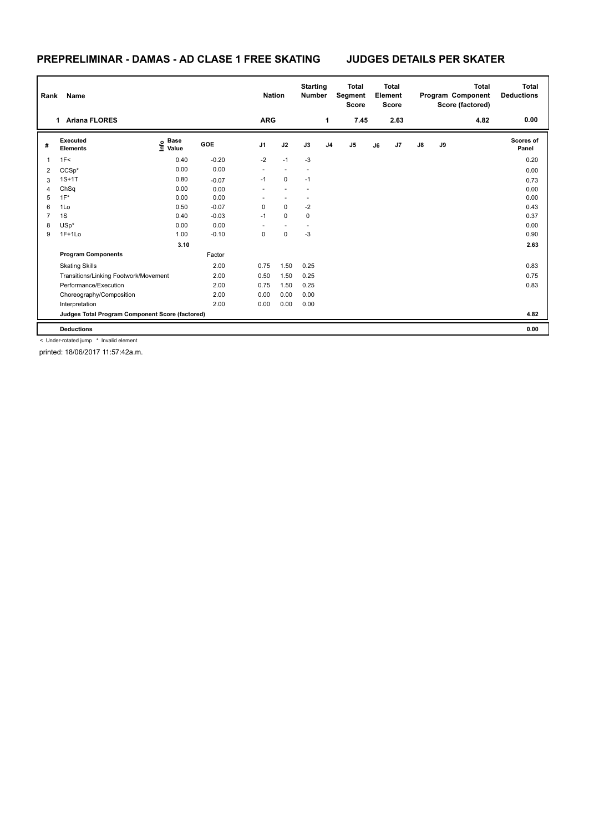## **PREPRELIMINAR - DAMAS - AD CLASE 1 FREE SKATING JUDGES DETAILS PER SKATER**

| Rank | Name                                            |                   |            | <b>Nation</b>  |                | <b>Starting</b><br><b>Number</b> |                | <b>Total</b><br><b>Segment</b><br><b>Score</b> |    | <b>Total</b><br>Element<br><b>Score</b> |               |    | <b>Total</b><br>Program Component<br>Score (factored) | <b>Total</b><br><b>Deductions</b> |
|------|-------------------------------------------------|-------------------|------------|----------------|----------------|----------------------------------|----------------|------------------------------------------------|----|-----------------------------------------|---------------|----|-------------------------------------------------------|-----------------------------------|
|      | <b>Ariana FLORES</b><br>1                       |                   |            | <b>ARG</b>     |                |                                  | 1              | 7.45                                           |    | 2.63                                    |               |    | 4.82                                                  | 0.00                              |
| #    | Executed<br><b>Elements</b>                     | e Base<br>⊆ Value | <b>GOE</b> | J <sub>1</sub> | J2             | J3                               | J <sub>4</sub> | J <sub>5</sub>                                 | J6 | J7                                      | $\mathsf{J}8$ | J9 |                                                       | <b>Scores of</b><br>Panel         |
| 1    | 1F<                                             | 0.40              | $-0.20$    | $-2$           | $-1$           | $-3$                             |                |                                                |    |                                         |               |    |                                                       | 0.20                              |
| 2    | $CCSp*$                                         | 0.00              | 0.00       | $\sim$         | $\overline{a}$ | $\overline{\phantom{a}}$         |                |                                                |    |                                         |               |    |                                                       | 0.00                              |
| 3    | $1S+1T$                                         | 0.80              | $-0.07$    | $-1$           | $\mathbf 0$    | $-1$                             |                |                                                |    |                                         |               |    |                                                       | 0.73                              |
| 4    | ChSq                                            | 0.00              | 0.00       |                |                |                                  |                |                                                |    |                                         |               |    |                                                       | 0.00                              |
| 5    | $1F^*$                                          | 0.00              | 0.00       |                |                |                                  |                |                                                |    |                                         |               |    |                                                       | 0.00                              |
| 6    | 1Lo                                             | 0.50              | $-0.07$    | 0              | $\mathbf 0$    | $-2$                             |                |                                                |    |                                         |               |    |                                                       | 0.43                              |
| 7    | 1S                                              | 0.40              | $-0.03$    | $-1$           | $\mathbf 0$    | $\mathbf 0$                      |                |                                                |    |                                         |               |    |                                                       | 0.37                              |
| 8    | $USp*$                                          | 0.00              | 0.00       |                |                |                                  |                |                                                |    |                                         |               |    |                                                       | 0.00                              |
| 9    | $1F+1Lo$                                        | 1.00              | $-0.10$    | 0              | $\mathbf 0$    | $-3$                             |                |                                                |    |                                         |               |    |                                                       | 0.90                              |
|      |                                                 | 3.10              |            |                |                |                                  |                |                                                |    |                                         |               |    |                                                       | 2.63                              |
|      | <b>Program Components</b>                       |                   | Factor     |                |                |                                  |                |                                                |    |                                         |               |    |                                                       |                                   |
|      | <b>Skating Skills</b>                           |                   | 2.00       | 0.75           | 1.50           | 0.25                             |                |                                                |    |                                         |               |    |                                                       | 0.83                              |
|      | Transitions/Linking Footwork/Movement           |                   | 2.00       | 0.50           | 1.50           | 0.25                             |                |                                                |    |                                         |               |    |                                                       | 0.75                              |
|      | Performance/Execution                           |                   | 2.00       | 0.75           | 1.50           | 0.25                             |                |                                                |    |                                         |               |    |                                                       | 0.83                              |
|      | Choreography/Composition                        |                   | 2.00       | 0.00           | 0.00           | 0.00                             |                |                                                |    |                                         |               |    |                                                       |                                   |
|      | Interpretation                                  |                   | 2.00       | 0.00           | 0.00           | 0.00                             |                |                                                |    |                                         |               |    |                                                       |                                   |
|      | Judges Total Program Component Score (factored) |                   |            |                |                |                                  |                |                                                |    |                                         |               |    |                                                       | 4.82                              |
|      | <b>Deductions</b>                               |                   |            |                |                |                                  |                |                                                |    |                                         |               |    |                                                       | 0.00                              |

< Under-rotated jump \* Invalid element

printed: 18/06/2017 11:57:42a.m.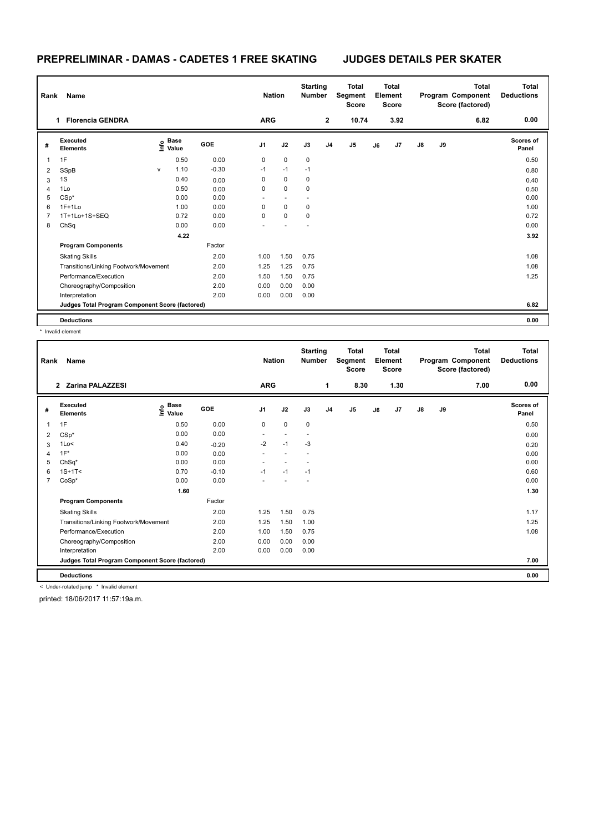# **PREPRELIMINAR - DAMAS - CADETES 1 FREE SKATING JUDGES DETAILS PER SKATER**

| Rank           | Name                                            |              |                           |            | <b>Nation</b> |             | <b>Starting</b><br><b>Number</b> |                | <b>Total</b><br>Segment<br><b>Score</b> |    | <b>Total</b><br>Element<br><b>Score</b> |               |    | <b>Total</b><br>Program Component<br>Score (factored) | <b>Total</b><br><b>Deductions</b> |
|----------------|-------------------------------------------------|--------------|---------------------------|------------|---------------|-------------|----------------------------------|----------------|-----------------------------------------|----|-----------------------------------------|---------------|----|-------------------------------------------------------|-----------------------------------|
|                | <b>Florencia GENDRA</b><br>1                    |              |                           |            | <b>ARG</b>    |             |                                  | $\mathbf{2}$   | 10.74                                   |    | 3.92                                    |               |    | 6.82                                                  | 0.00                              |
| #              | Executed<br><b>Elements</b>                     |              | Base<br>e Base<br>⊆ Value | <b>GOE</b> | J1            | J2          | J3                               | J <sub>4</sub> | J5                                      | J6 | J7                                      | $\mathsf{J}8$ | J9 |                                                       | <b>Scores of</b><br>Panel         |
| 1              | 1F                                              |              | 0.50                      | 0.00       | 0             | $\mathbf 0$ | 0                                |                |                                         |    |                                         |               |    |                                                       | 0.50                              |
| 2              | SSpB                                            | $\mathsf{V}$ | 1.10                      | $-0.30$    | $-1$          | $-1$        | $-1$                             |                |                                         |    |                                         |               |    |                                                       | 0.80                              |
| 3              | 1S                                              |              | 0.40                      | 0.00       | 0             | $\mathbf 0$ | $\mathbf 0$                      |                |                                         |    |                                         |               |    |                                                       | 0.40                              |
| 4              | 1Lo                                             |              | 0.50                      | 0.00       | 0             | $\mathbf 0$ | $\Omega$                         |                |                                         |    |                                         |               |    |                                                       | 0.50                              |
| 5              | $CSp*$                                          |              | 0.00                      | 0.00       |               |             |                                  |                |                                         |    |                                         |               |    |                                                       | 0.00                              |
| 6              | $1F+1Lo$                                        |              | 1.00                      | 0.00       | 0             | $\mathbf 0$ | 0                                |                |                                         |    |                                         |               |    |                                                       | 1.00                              |
| $\overline{7}$ | 1T+1Lo+1S+SEQ                                   |              | 0.72                      | 0.00       | 0             | $\mathbf 0$ | 0                                |                |                                         |    |                                         |               |    |                                                       | 0.72                              |
| 8              | ChSq                                            |              | 0.00                      | 0.00       |               |             |                                  |                |                                         |    |                                         |               |    |                                                       | 0.00                              |
|                |                                                 |              | 4.22                      |            |               |             |                                  |                |                                         |    |                                         |               |    |                                                       | 3.92                              |
|                | <b>Program Components</b>                       |              |                           | Factor     |               |             |                                  |                |                                         |    |                                         |               |    |                                                       |                                   |
|                | <b>Skating Skills</b>                           |              |                           | 2.00       | 1.00          | 1.50        | 0.75                             |                |                                         |    |                                         |               |    |                                                       | 1.08                              |
|                | Transitions/Linking Footwork/Movement           |              |                           | 2.00       | 1.25          | 1.25        | 0.75                             |                |                                         |    |                                         |               |    |                                                       | 1.08                              |
|                | Performance/Execution                           |              |                           | 2.00       | 1.50          | 1.50        | 0.75                             |                |                                         |    |                                         |               |    |                                                       | 1.25                              |
|                | Choreography/Composition                        |              |                           | 2.00       | 0.00          | 0.00        | 0.00                             |                |                                         |    |                                         |               |    |                                                       |                                   |
|                | Interpretation                                  |              |                           | 2.00       | 0.00          | 0.00        | 0.00                             |                |                                         |    |                                         |               |    |                                                       |                                   |
|                | Judges Total Program Component Score (factored) |              |                           |            |               |             |                                  |                |                                         |    |                                         |               |    |                                                       | 6.82                              |
|                | <b>Deductions</b>                               |              |                           |            |               |             |                                  |                |                                         |    |                                         |               |    |                                                       | 0.00                              |

\* Invalid element

| Rank | Name                                            |                                         |         | <b>Nation</b>  |      | <b>Starting</b><br><b>Number</b> |                | <b>Total</b><br>Segment<br>Score |    | Total<br>Element<br><b>Score</b> |               |    | Total<br>Program Component<br>Score (factored) | Total<br><b>Deductions</b> |
|------|-------------------------------------------------|-----------------------------------------|---------|----------------|------|----------------------------------|----------------|----------------------------------|----|----------------------------------|---------------|----|------------------------------------------------|----------------------------|
|      | 2 Zarina PALAZZESI                              |                                         |         | <b>ARG</b>     |      |                                  | 1              | 8.30                             |    | 1.30                             |               |    | 7.00                                           | 0.00                       |
| #    | <b>Executed</b><br><b>Elements</b>              | $\mathbf{e}$ Base<br>$\mathbf{e}$ Value | GOE     | J <sub>1</sub> | J2   | J3                               | J <sub>4</sub> | J <sub>5</sub>                   | J6 | J7                               | $\mathsf{J}8$ | J9 |                                                | <b>Scores of</b><br>Panel  |
| 1    | 1F                                              | 0.50                                    | 0.00    | 0              | 0    | 0                                |                |                                  |    |                                  |               |    |                                                | 0.50                       |
| 2    | $CSp*$                                          | 0.00                                    | 0.00    |                |      |                                  |                |                                  |    |                                  |               |    |                                                | 0.00                       |
| 3    | 1Lo<                                            | 0.40                                    | $-0.20$ | $-2$           | $-1$ | $-3$                             |                |                                  |    |                                  |               |    |                                                | 0.20                       |
| 4    | $1F^*$                                          | 0.00                                    | 0.00    |                |      |                                  |                |                                  |    |                                  |               |    |                                                | 0.00                       |
| 5    | $ChSq^*$                                        | 0.00                                    | 0.00    |                |      |                                  |                |                                  |    |                                  |               |    |                                                | 0.00                       |
| 6    | $1S+1T2$                                        | 0.70                                    | $-0.10$ | $-1$           | $-1$ | $-1$                             |                |                                  |    |                                  |               |    |                                                | 0.60                       |
| 7    | $CoSp*$                                         | 0.00                                    | 0.00    |                |      |                                  |                |                                  |    |                                  |               |    |                                                | 0.00                       |
|      |                                                 | 1.60                                    |         |                |      |                                  |                |                                  |    |                                  |               |    |                                                | 1.30                       |
|      | <b>Program Components</b>                       |                                         | Factor  |                |      |                                  |                |                                  |    |                                  |               |    |                                                |                            |
|      | <b>Skating Skills</b>                           |                                         | 2.00    | 1.25           | 1.50 | 0.75                             |                |                                  |    |                                  |               |    |                                                | 1.17                       |
|      | Transitions/Linking Footwork/Movement           |                                         | 2.00    | 1.25           | 1.50 | 1.00                             |                |                                  |    |                                  |               |    |                                                | 1.25                       |
|      | Performance/Execution                           |                                         | 2.00    | 1.00           | 1.50 | 0.75                             |                |                                  |    |                                  |               |    |                                                | 1.08                       |
|      | Choreography/Composition                        |                                         | 2.00    | 0.00           | 0.00 | 0.00                             |                |                                  |    |                                  |               |    |                                                |                            |
|      | Interpretation                                  |                                         | 2.00    | 0.00           | 0.00 | 0.00                             |                |                                  |    |                                  |               |    |                                                |                            |
|      | Judges Total Program Component Score (factored) |                                         |         |                |      |                                  |                |                                  |    |                                  |               |    |                                                | 7.00                       |
|      | <b>Deductions</b>                               |                                         |         |                |      |                                  |                |                                  |    |                                  |               |    |                                                | 0.00                       |
|      | < Under-rotated jump * Invalid element          |                                         |         |                |      |                                  |                |                                  |    |                                  |               |    |                                                |                            |

printed: 18/06/2017 11:57:19a.m.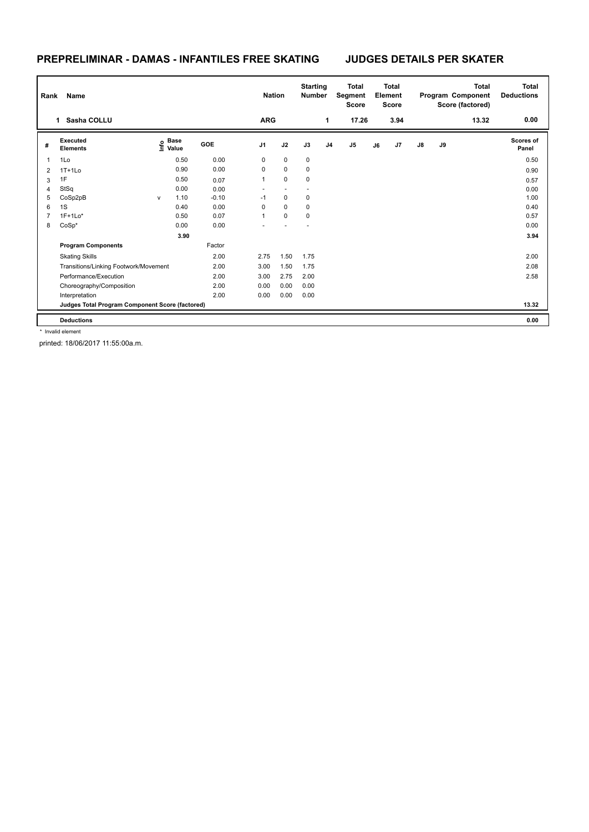### **PREPRELIMINAR - DAMAS - INFANTILES FREE SKATING JUDGES DETAILS PER SKATER**

| Rank | Name                                            |   |                                  |         | <b>Nation</b>  |                          | <b>Starting</b><br><b>Number</b> |                | <b>Total</b><br>Segment<br><b>Score</b> |    | <b>Total</b><br>Element<br><b>Score</b> |               |    | <b>Total</b><br>Program Component<br>Score (factored) | <b>Total</b><br><b>Deductions</b> |
|------|-------------------------------------------------|---|----------------------------------|---------|----------------|--------------------------|----------------------------------|----------------|-----------------------------------------|----|-----------------------------------------|---------------|----|-------------------------------------------------------|-----------------------------------|
|      | Sasha COLLU<br>$\mathbf 1$                      |   |                                  |         | <b>ARG</b>     |                          |                                  | 1              | 17.26                                   |    | 3.94                                    |               |    | 13.32                                                 | 0.00                              |
| #    | Executed<br><b>Elements</b>                     |   | <b>Base</b><br>e Base<br>⊆ Value | GOE     | J <sub>1</sub> | J2                       | J3                               | J <sub>4</sub> | J <sub>5</sub>                          | J6 | J7                                      | $\mathsf{J}8$ | J9 |                                                       | Scores of<br>Panel                |
| 1    | 1Lo                                             |   | 0.50                             | 0.00    | 0              | $\mathbf 0$              | 0                                |                |                                         |    |                                         |               |    |                                                       | 0.50                              |
| 2    | $1T+1L0$                                        |   | 0.90                             | 0.00    | 0              | $\mathbf 0$              | 0                                |                |                                         |    |                                         |               |    |                                                       | 0.90                              |
| 3    | 1F                                              |   | 0.50                             | 0.07    | $\mathbf{1}$   | $\mathbf 0$              | $\mathbf 0$                      |                |                                         |    |                                         |               |    |                                                       | 0.57                              |
| 4    | StSq                                            |   | 0.00                             | 0.00    | ٠              | $\overline{\phantom{a}}$ |                                  |                |                                         |    |                                         |               |    |                                                       | 0.00                              |
| 5    | CoSp2pB                                         | V | 1.10                             | $-0.10$ | $-1$           | $\pmb{0}$                | 0                                |                |                                         |    |                                         |               |    |                                                       | 1.00                              |
| 6    | 1S                                              |   | 0.40                             | 0.00    | $\Omega$       | $\mathbf 0$              | 0                                |                |                                         |    |                                         |               |    |                                                       | 0.40                              |
| 7    | $1F+1Lo*$                                       |   | 0.50                             | 0.07    | $\mathbf{1}$   | $\Omega$                 | 0                                |                |                                         |    |                                         |               |    |                                                       | 0.57                              |
| 8    | $CoSp*$                                         |   | 0.00                             | 0.00    |                |                          |                                  |                |                                         |    |                                         |               |    |                                                       | 0.00                              |
|      |                                                 |   | 3.90                             |         |                |                          |                                  |                |                                         |    |                                         |               |    |                                                       | 3.94                              |
|      | <b>Program Components</b>                       |   |                                  | Factor  |                |                          |                                  |                |                                         |    |                                         |               |    |                                                       |                                   |
|      | <b>Skating Skills</b>                           |   |                                  | 2.00    | 2.75           | 1.50                     | 1.75                             |                |                                         |    |                                         |               |    |                                                       | 2.00                              |
|      | Transitions/Linking Footwork/Movement           |   |                                  | 2.00    | 3.00           | 1.50                     | 1.75                             |                |                                         |    |                                         |               |    |                                                       | 2.08                              |
|      | Performance/Execution                           |   |                                  | 2.00    | 3.00           | 2.75                     | 2.00                             |                |                                         |    |                                         |               |    |                                                       | 2.58                              |
|      | Choreography/Composition                        |   |                                  | 2.00    | 0.00           | 0.00                     | 0.00                             |                |                                         |    |                                         |               |    |                                                       |                                   |
|      | Interpretation                                  |   |                                  | 2.00    | 0.00           | 0.00                     | 0.00                             |                |                                         |    |                                         |               |    |                                                       |                                   |
|      | Judges Total Program Component Score (factored) |   |                                  |         |                |                          |                                  |                |                                         |    |                                         |               |    |                                                       | 13.32                             |
|      | <b>Deductions</b>                               |   |                                  |         |                |                          |                                  |                |                                         |    |                                         |               |    |                                                       | 0.00                              |

\* Invalid element

printed: 18/06/2017 11:55:00a.m.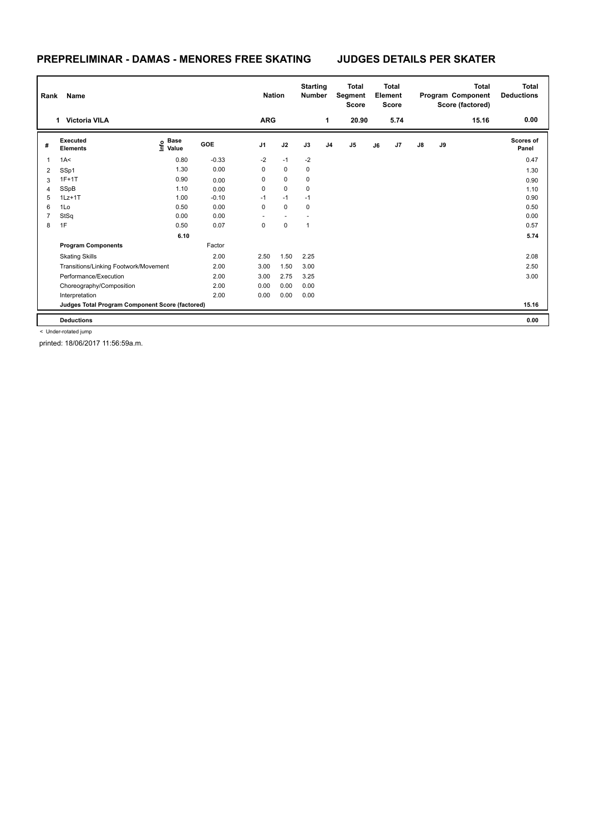### **PREPRELIMINAR - DAMAS - MENORES FREE SKATING JUDGES DETAILS PER SKATER**

| Rank | Name                                            |                                  |         | <b>Nation</b>  |             | <b>Starting</b><br><b>Number</b> |                | <b>Total</b><br>Segment<br><b>Score</b> |    | <b>Total</b><br>Element<br><b>Score</b> |               |    | <b>Total</b><br>Program Component<br>Score (factored) | Total<br><b>Deductions</b> |
|------|-------------------------------------------------|----------------------------------|---------|----------------|-------------|----------------------------------|----------------|-----------------------------------------|----|-----------------------------------------|---------------|----|-------------------------------------------------------|----------------------------|
|      | <b>Victoria VILA</b><br>1.                      |                                  |         | <b>ARG</b>     |             |                                  | $\mathbf{1}$   | 20.90                                   |    | 5.74                                    |               |    | 15.16                                                 | 0.00                       |
| #    | Executed<br><b>Elements</b>                     | <b>Base</b><br>e Base<br>⊆ Value | GOE     | J <sub>1</sub> | J2          | J3                               | J <sub>4</sub> | J5                                      | J6 | J7                                      | $\mathsf{J}8$ | J9 |                                                       | <b>Scores of</b><br>Panel  |
| 1    | 1A<                                             | 0.80                             | $-0.33$ | $-2$           | $-1$        | $-2$                             |                |                                         |    |                                         |               |    |                                                       | 0.47                       |
| 2    | SSp1                                            | 1.30                             | 0.00    | 0              | $\mathbf 0$ | $\mathbf 0$                      |                |                                         |    |                                         |               |    |                                                       | 1.30                       |
| 3    | $1F+1T$                                         | 0.90                             | 0.00    | 0              | $\mathbf 0$ | $\mathbf 0$                      |                |                                         |    |                                         |               |    |                                                       | 0.90                       |
| 4    | SSpB                                            | 1.10                             | 0.00    | 0              | $\mathbf 0$ | $\mathbf 0$                      |                |                                         |    |                                         |               |    |                                                       | 1.10                       |
| 5    | $1Lz+1T$                                        | 1.00                             | $-0.10$ | $-1$           | $-1$        | $-1$                             |                |                                         |    |                                         |               |    |                                                       | 0.90                       |
| 6    | 1Lo                                             | 0.50                             | 0.00    | $\mathbf 0$    | $\mathbf 0$ | $\mathbf 0$                      |                |                                         |    |                                         |               |    |                                                       | 0.50                       |
| 7    | StSq                                            | 0.00                             | 0.00    | ٠.             | $\sim$      | $\overline{\phantom{a}}$         |                |                                         |    |                                         |               |    |                                                       | 0.00                       |
| 8    | 1F                                              | 0.50                             | 0.07    | 0              | $\mathbf 0$ | $\mathbf{1}$                     |                |                                         |    |                                         |               |    |                                                       | 0.57                       |
|      |                                                 | 6.10                             |         |                |             |                                  |                |                                         |    |                                         |               |    |                                                       | 5.74                       |
|      | <b>Program Components</b>                       |                                  | Factor  |                |             |                                  |                |                                         |    |                                         |               |    |                                                       |                            |
|      | <b>Skating Skills</b>                           |                                  | 2.00    | 2.50           | 1.50        | 2.25                             |                |                                         |    |                                         |               |    |                                                       | 2.08                       |
|      | Transitions/Linking Footwork/Movement           |                                  | 2.00    | 3.00           | 1.50        | 3.00                             |                |                                         |    |                                         |               |    |                                                       | 2.50                       |
|      | Performance/Execution                           |                                  | 2.00    | 3.00           | 2.75        | 3.25                             |                |                                         |    |                                         |               |    |                                                       | 3.00                       |
|      | Choreography/Composition                        |                                  | 2.00    | 0.00           | 0.00        | 0.00                             |                |                                         |    |                                         |               |    |                                                       |                            |
|      | Interpretation                                  |                                  | 2.00    | 0.00           | 0.00        | 0.00                             |                |                                         |    |                                         |               |    |                                                       |                            |
|      | Judges Total Program Component Score (factored) |                                  |         |                |             |                                  |                |                                         |    |                                         |               |    |                                                       | 15.16                      |
|      | <b>Deductions</b>                               |                                  |         |                |             |                                  |                |                                         |    |                                         |               |    |                                                       | 0.00                       |

< Under-rotated jump

printed: 18/06/2017 11:56:59a.m.